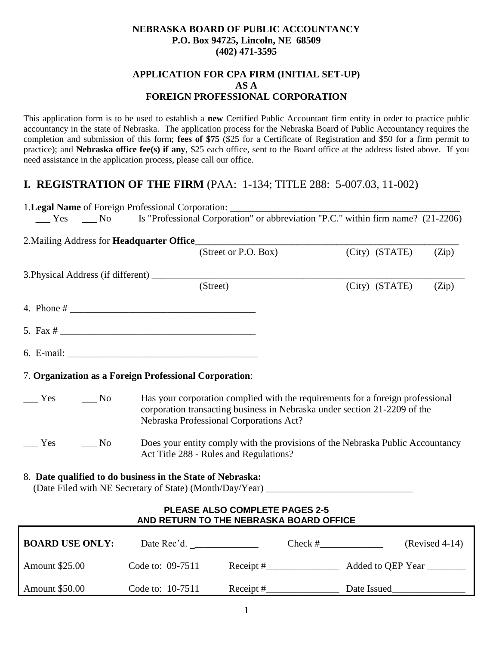#### **NEBRASKA BOARD OF PUBLIC ACCOUNTANCY P.O. Box 94725, Lincoln, NE 68509 (402) 471-3595**

### **APPLICATION FOR CPA FIRM (INITIAL SET-UP) AS A FOREIGN PROFESSIONAL CORPORATION**

This application form is to be used to establish a **new** Certified Public Accountant firm entity in order to practice public accountancy in the state of Nebraska. The application process for the Nebraska Board of Public Accountancy requires the completion and submission of this form; **fees of \$75** (\$25 for a Certificate of Registration and \$50 for a firm permit to practice); and **Nebraska office fee(s) if any**, \$25 each office, sent to the Board office at the address listed above. If you need assistance in the application process, please call our office.

# **I. REGISTRATION OF THE FIRM** (PAA: 1-134; TITLE 288: 5-007.03, 11-002)

|                                                                                                                                                                                                                                                                                                                                                                                                                                     |                        | 1. Legal Name of Foreign Professional Corporation: _____________________________ |                                                                                                                                                                                                        |                |       |
|-------------------------------------------------------------------------------------------------------------------------------------------------------------------------------------------------------------------------------------------------------------------------------------------------------------------------------------------------------------------------------------------------------------------------------------|------------------------|----------------------------------------------------------------------------------|--------------------------------------------------------------------------------------------------------------------------------------------------------------------------------------------------------|----------------|-------|
|                                                                                                                                                                                                                                                                                                                                                                                                                                     |                        |                                                                                  |                                                                                                                                                                                                        |                |       |
|                                                                                                                                                                                                                                                                                                                                                                                                                                     |                        |                                                                                  |                                                                                                                                                                                                        |                |       |
|                                                                                                                                                                                                                                                                                                                                                                                                                                     |                        |                                                                                  | (Street or P.O. Box)                                                                                                                                                                                   | (City) (STATE) | (Zip) |
|                                                                                                                                                                                                                                                                                                                                                                                                                                     |                        |                                                                                  |                                                                                                                                                                                                        |                |       |
|                                                                                                                                                                                                                                                                                                                                                                                                                                     |                        | (Street)                                                                         |                                                                                                                                                                                                        | (City) (STATE) | (Zip) |
|                                                                                                                                                                                                                                                                                                                                                                                                                                     |                        |                                                                                  |                                                                                                                                                                                                        |                |       |
|                                                                                                                                                                                                                                                                                                                                                                                                                                     |                        |                                                                                  |                                                                                                                                                                                                        |                |       |
|                                                                                                                                                                                                                                                                                                                                                                                                                                     |                        |                                                                                  |                                                                                                                                                                                                        |                |       |
|                                                                                                                                                                                                                                                                                                                                                                                                                                     |                        | 7. Organization as a Foreign Professional Corporation:                           |                                                                                                                                                                                                        |                |       |
| $\frac{1}{\sqrt{1 - \frac{1}{\sqrt{1 + \frac{1}{\sqrt{1 + \frac{1}{\sqrt{1 + \frac{1}{\sqrt{1 + \frac{1}{\sqrt{1 + \frac{1}{\sqrt{1 + \frac{1}{\sqrt{1 + \frac{1}{\sqrt{1 + \frac{1}{\sqrt{1 + \frac{1}{\sqrt{1 + \frac{1}{\sqrt{1 + \frac{1}{\sqrt{1 + \frac{1}{\sqrt{1 + \frac{1}{\sqrt{1 + \frac{1}{\sqrt{1 + \frac{1}{\sqrt{1 + \frac{1}{\sqrt{1 + \frac{1}{\sqrt{1 + \frac{1}{\sqrt{1 + \frac{1}{\sqrt{1 + \frac{1}{\sqrt{1 +$ |                        |                                                                                  | Has your corporation complied with the requirements for a foreign professional<br>corporation transacting business in Nebraska under section 21-2209 of the<br>Nebraska Professional Corporations Act? |                |       |
| Yes                                                                                                                                                                                                                                                                                                                                                                                                                                 | $\mathbf{N}\mathbf{o}$ | Act Title 288 - Rules and Regulations?                                           | Does your entity comply with the provisions of the Nebraska Public Accountancy                                                                                                                         |                |       |
|                                                                                                                                                                                                                                                                                                                                                                                                                                     |                        | 8. Date qualified to do business in the State of Nebraska:                       |                                                                                                                                                                                                        |                |       |
|                                                                                                                                                                                                                                                                                                                                                                                                                                     |                        |                                                                                  | <b>PLEASE ALSO COMPLETE PAGES 2-5</b><br>AND RETURN TO THE NEBRASKA BOARD OFFICE                                                                                                                       |                |       |

| <b>BOARD USE ONLY:</b> | Date Rec'd.      | Check #   | $(Revised 4-14)$  |
|------------------------|------------------|-----------|-------------------|
| <b>Amount \$25.00</b>  | Code to: 09-7511 | Receipt # | Added to QEP Year |
| <b>Amount \$50.00</b>  | Code to: 10-7511 | Receipt # | Date Issued       |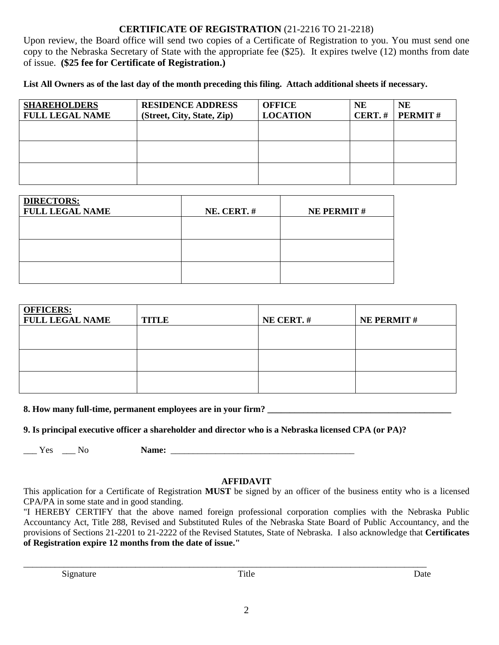## **CERTIFICATE OF REGISTRATION** (21-2216 TO 21-2218)

Upon review, the Board office will send two copies of a Certificate of Registration to you. You must send one copy to the Nebraska Secretary of State with the appropriate fee (\$25). It expires twelve (12) months from date of issue. **(\$25 fee for Certificate of Registration.)**

**List All Owners as of the last day of the month preceding this filing. Attach additional sheets if necessary.** 

| <b>SHAREHOLDERS</b>    | <b>RESIDENCE ADDRESS</b>   | <b>OFFICE</b>   | <b>NE</b>  | <b>NE</b>      |
|------------------------|----------------------------|-----------------|------------|----------------|
| <b>FULL LEGAL NAME</b> | (Street, City, State, Zip) | <b>LOCATION</b> | $CERT. \#$ | <b>PERMIT#</b> |
|                        |                            |                 |            |                |
|                        |                            |                 |            |                |
|                        |                            |                 |            |                |
|                        |                            |                 |            |                |
|                        |                            |                 |            |                |
|                        |                            |                 |            |                |

| <b>DIRECTORS:</b><br><b>FULL LEGAL NAME</b> | NE. CERT.# | <b>NE PERMIT#</b> |
|---------------------------------------------|------------|-------------------|
|                                             |            |                   |
|                                             |            |                   |
|                                             |            |                   |

| <b>OFFICERS:</b><br><b>FULL LEGAL NAME</b> | <b>TITLE</b> | NE CERT.# | <b>NE PERMIT#</b> |
|--------------------------------------------|--------------|-----------|-------------------|
|                                            |              |           |                   |
|                                            |              |           |                   |
|                                            |              |           |                   |

**8. How many full-time, permanent employees are in your firm?** 

**9. Is principal executive officer a shareholder and director who is a Nebraska licensed CPA (or PA)?** 

\_\_\_ Yes \_\_\_ No **Name:** \_\_\_\_\_\_\_\_\_\_\_\_\_\_\_\_\_\_\_\_\_\_\_\_\_\_\_\_\_\_\_\_\_\_\_\_\_\_\_\_\_

### **AFFIDAVIT**

This application for a Certificate of Registration **MUST** be signed by an officer of the business entity who is a licensed CPA/PA in some state and in good standing.

"I HEREBY CERTIFY that the above named foreign professional corporation complies with the Nebraska Public Accountancy Act, Title 288, Revised and Substituted Rules of the Nebraska State Board of Public Accountancy, and the provisions of Sections 21-2201 to 21-2222 of the Revised Statutes, State of Nebraska. I also acknowledge that **Certificates of Registration expire 12 months from the date of issue."**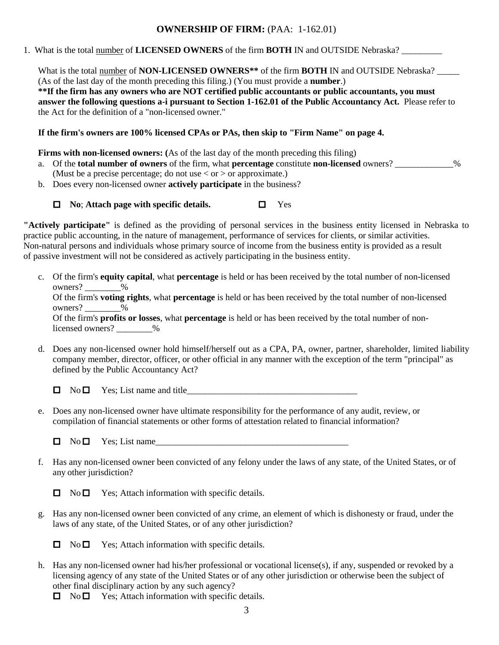### **OWNERSHIP OF FIRM:** (PAA: 1-162.01)

1. What is the total number of **LICENSED OWNERS** of the firm **BOTH** IN and OUTSIDE Nebraska? \_\_\_\_\_\_\_\_\_

What is the total number of **NON-LICENSED OWNERS**<sup>\*\*</sup> of the firm **BOTH** IN and OUTSIDE Nebraska? (As of the last day of the month preceding this filing.) (You must provide a **number**.) **\*\*If the firm has any owners who are NOT certified public accountants or public accountants, you must answer the following questions a-i pursuant to Section 1-162.01 of the Public Accountancy Act.** Please refer to the Act for the definition of a "non-licensed owner."

**If the firm's owners are 100% licensed CPAs or PAs, then skip to "Firm Name" on page 4.**

**Firms with non-licensed owners:** (As of the last day of the month preceding this filing)

- a. Of the **total number of owners** of the firm, what **percentage** constitute **non-licensed** owners? \_\_\_\_\_\_\_\_\_\_\_\_\_% (Must be a precise percentage; do not use  $\langle$  or  $\rangle$  or approximate.)
- b. Does every non-licensed owner **actively participate** in the business?

### **No**; **Attach page with specific details.** Yes

**"Actively participate"** is defined as the providing of personal services in the business entity licensed in Nebraska to practice public accounting, in the nature of management, performance of services for clients, or similar activities. Non-natural persons and individuals whose primary source of income from the business entity is provided as a result of passive investment will not be considered as actively participating in the business entity.

c. Of the firm's **equity capital**, what **percentage** is held or has been received by the total number of non-licensed owners?  $\frac{9}{6}$ 

Of the firm's **voting rights**, what **percentage** is held or has been received by the total number of non-licensed owners?  $\frac{9}{6}$ 

Of the firm's **profits or losses**, what **percentage** is held or has been received by the total number of nonlicensed owners?  $\frac{9}{6}$ 

d. Does any non-licensed owner hold himself/herself out as a CPA, PA, owner, partner, shareholder, limited liability company member, director, officer, or other official in any manner with the exception of the term "principal" as defined by the Public Accountancy Act?

 $\Box$  No  $\Box$  Yes; List name and title

e. Does any non-licensed owner have ultimate responsibility for the performance of any audit, review, or compilation of financial statements or other forms of attestation related to financial information?

- f. Has any non-licensed owner been convicted of any felony under the laws of any state, of the United States, or of any other jurisdiction?
	- $\Box$  No  $\Box$  Yes; Attach information with specific details.
- g. Has any non-licensed owner been convicted of any crime, an element of which is dishonesty or fraud, under the laws of any state, of the United States, or of any other jurisdiction?

 $\Box$  No  $\Box$  Yes; Attach information with specific details.

h. Has any non-licensed owner had his/her professional or vocational license(s), if any, suspended or revoked by a licensing agency of any state of the United States or of any other jurisdiction or otherwise been the subject of other final disciplinary action by any such agency?

 $\Box$  No  $\Box$  Yes; Attach information with specific details.

 $\Box$  No  $\Box$  Yes; List name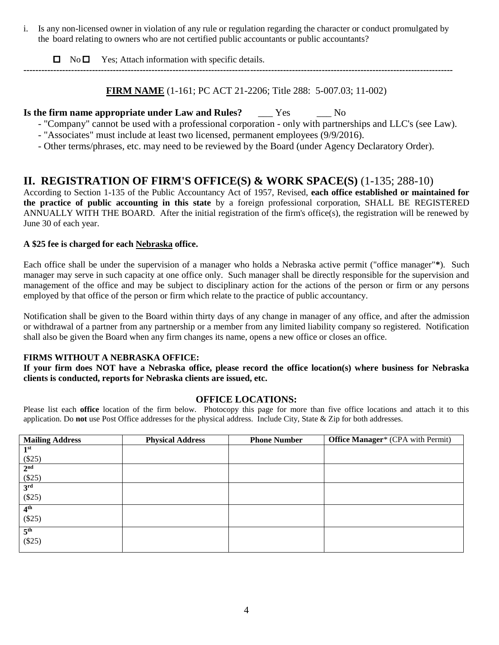i. Is any non-licensed owner in violation of any rule or regulation regarding the character or conduct promulgated by the board relating to owners who are not certified public accountants or public accountants?

 $\Box$  No  $\Box$  Yes; Attach information with specific details.

**FIRM NAME** (1-161; PC ACT 21-2206; Title 288: 5-007.03; 11-002)

## **Is the firm name appropriate under Law and Rules?** Yes No

- "Company" cannot be used with a professional corporation only with partnerships and LLC's (see Law).
- "Associates" must include at least two licensed, permanent employees (9/9/2016).

**------------------------------------------------------------------------------------------------------------------------------------------------**

- Other terms/phrases, etc. may need to be reviewed by the Board (under Agency Declaratory Order).

# **II. REGISTRATION OF FIRM'S OFFICE(S) & WORK SPACE(S)** (1-135; 288-10)

According to Section 1-135 of the Public Accountancy Act of 1957, Revised, **each office established or maintained for the practice of public accounting in this state** by a foreign professional corporation, SHALL BE REGISTERED ANNUALLY WITH THE BOARD. After the initial registration of the firm's office(s), the registration will be renewed by June 30 of each year.

### **A \$25 fee is charged for each Nebraska office.**

Each office shall be under the supervision of a manager who holds a Nebraska active permit ("office manager"**\***). Such manager may serve in such capacity at one office only. Such manager shall be directly responsible for the supervision and management of the office and may be subject to disciplinary action for the actions of the person or firm or any persons employed by that office of the person or firm which relate to the practice of public accountancy.

Notification shall be given to the Board within thirty days of any change in manager of any office, and after the admission or withdrawal of a partner from any partnership or a member from any limited liability company so registered. Notification shall also be given the Board when any firm changes its name, opens a new office or closes an office.

#### **FIRMS WITHOUT A NEBRASKA OFFICE:**

**If your firm does NOT have a Nebraska office, please record the office location(s) where business for Nebraska clients is conducted, reports for Nebraska clients are issued, etc.** 

### **OFFICE LOCATIONS:**

Please list each **office** location of the firm below. Photocopy this page for more than five office locations and attach it to this application. Do **not** use Post Office addresses for the physical address. Include City, State & Zip for both addresses.

| <b>Mailing Address</b> | <b>Physical Address</b> | <b>Phone Number</b> | <b>Office Manager*</b> (CPA with Permit) |
|------------------------|-------------------------|---------------------|------------------------------------------|
| 1 <sup>st</sup>        |                         |                     |                                          |
| $(\$25)$               |                         |                     |                                          |
| 2 <sup>nd</sup>        |                         |                     |                                          |
| (\$25)                 |                         |                     |                                          |
| 3 <sup>rd</sup>        |                         |                     |                                          |
| (\$25)                 |                         |                     |                                          |
| 4 <sup>th</sup>        |                         |                     |                                          |
| (\$25)                 |                         |                     |                                          |
| 5 <sup>th</sup>        |                         |                     |                                          |
| (\$25)                 |                         |                     |                                          |
|                        |                         |                     |                                          |